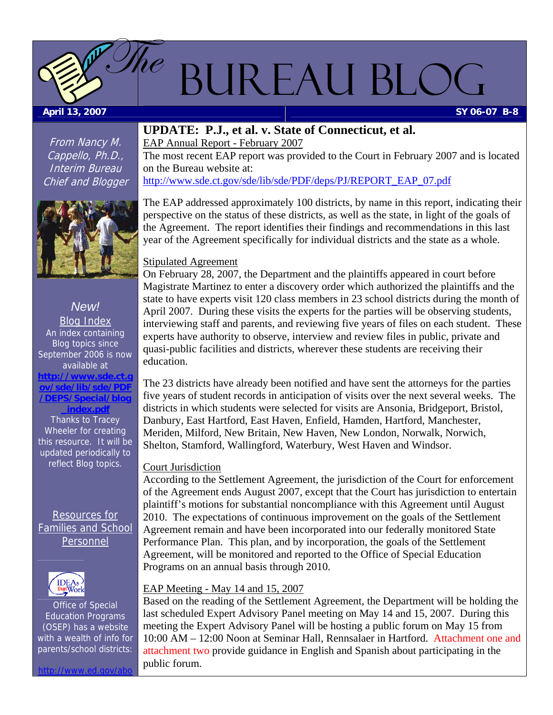# Bureau Blog

#### <span id="page-0-0"></span> **April 13, 2007 SY 06-07 B-8**

From Nancy M. Cappello, Ph.D., Interim Bureau Chief and Blogger

 $\mathscr{D}\!\!\mathit{he}$ 



*New!*  Blog Index An index containing Blog topics since September 2006 is now available at **[http://www.sde.ct.g](http://www.sde.ct.gov/sde/lib/sde/PDF/DEPS/Special/blog_index.pdf) [ov/sde/lib/sde/PDF](http://www.sde.ct.gov/sde/lib/sde/PDF/DEPS/Special/blog_index.pdf) [/DEPS/Special/blog](http://www.sde.ct.gov/sde/lib/sde/PDF/DEPS/Special/blog_index.pdf) [\\_index.pdf](http://www.sde.ct.gov/sde/lib/sde/PDF/DEPS/Special/blog_index.pdf)**  Thanks to Tracey Wheeler for creating this resource. It will be

Resources for Families and School Personnel

updated periodically to reflect Blog topics.



Office of Special Education Programs (OSEP) has a website with a wealth of info for parents/school districts:

 $h \cdot \ell$  www.

#### **UPDATE: P.J., et al. v. State of Connecticut, et al.**

EAP Annual Report - February 2007 The most recent EAP report was provided to the Court in February 2007 and is located on the Bureau website at: [http://www.sde.ct.gov/sde/lib/sde/PDF/deps/PJ/REPORT\\_EAP\\_07.pdf](http://www.sde.ct.gov/sde/lib/sde/PDF/deps/PJ/REPORT_EAP_07.pdf)

The EAP addressed approximately 100 districts, by name in this report, indicating their perspective on the status of these districts, as well as the state, in light of the goals of the Agreement. The report identifies their findings and recommendations in this last year of the Agreement specifically for individual districts and the state as a whole.

#### Stipulated Agreement

On February 28, 2007, the Department and the plaintiffs appeared in court before Magistrate Martinez to enter a discovery order which authorized the plaintiffs and the state to have experts visit 120 class members in 23 school districts during the month of April 2007. During these visits the experts for the parties will be observing students, interviewing staff and parents, and reviewing five years of files on each student. These experts have authority to observe, interview and review files in public, private and quasi-public facilities and districts, wherever these students are receiving their education.

The 23 districts have already been notified and have sent the attorneys for the parties five years of student records in anticipation of visits over the next several weeks. The districts in which students were selected for visits are Ansonia, Bridgeport, Bristol, Danbury, East Hartford, East Haven, Enfield, Hamden, Hartford, Manchester, Meriden, Milford, New Britain, New Haven, New London, Norwalk, Norwich, Shelton, Stamford, Wallingford, Waterbury, West Haven and Windsor.

#### Court Jurisdiction

According to the Settlement Agreement, the jurisdiction of the Court for enforcement of the Agreement ends August 2007, except that the Court has jurisdiction to entertain plaintiff's motions for substantial noncompliance with this Agreement until August 2010. The expectations of continuous improvement on the goals of the Settlement Agreement remain and have been incorporated into our federally monitored State Performance Plan. This plan, and by incorporation, the goals of the Settlement Agreement, will be monitored and reported to the Office of Special Education Programs on an annual basis through 2010.

#### EAP Meeting - May 14 and 15, 2007

Based on the reading of the Settlement Agreement, the Department will be holding the last scheduled Expert Advisory Panel meeting on May 14 and 15, 2007. During this meeting the Expert Advisory Panel will be hosting a public forum on May 15 from 10:00 AM – 12:00 Noon at Seminar Hall, Rennsalaer in Hartford. [Attachment one](#page-4-0) and [attachment two](#page-5-0) provide guidance in English and Spanish about participating in the public forum.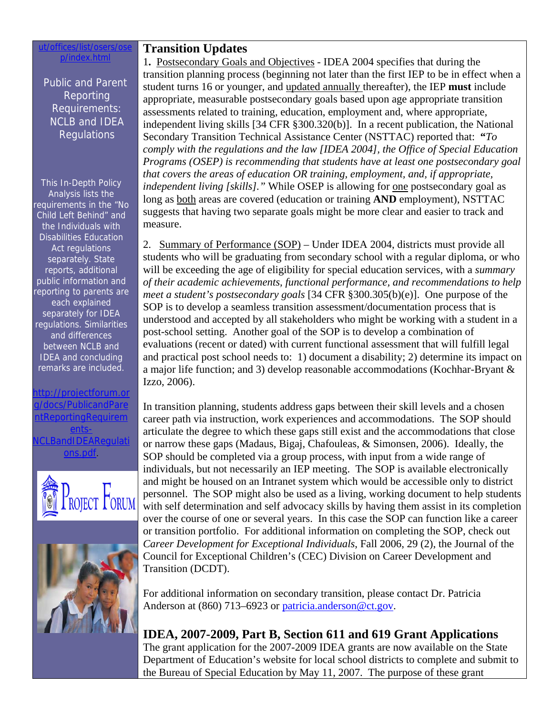#### ut/offices/list/osers/ose p/index.html

Public and Parent Reporting Requirements: NCLB and IDEA Regulations

This In-Depth Policy Analysis lists the requirements in the "No Child Left Behind" and the Individuals with Disabilities Education Act regulations separately. State reports, additional public information and reporting to parents are each explained separately for IDEA regulations. Similarities and differences between NCLB and IDEA and concluding remarks are included.

#### n://projectforum. cs/PublicandPare oortingRequire [ents-](http://projectforum.org/docs/PublicandParentReportingRequirements-NCLBandIDEARegulations.pdf)**CLBandIDEARequlat** [ons.pdf](http://projectforum.org/docs/PublicandParentReportingRequirements-NCLBandIDEARegulations.pdf).





### **Transition Updates**

1**.** Postsecondary Goals and Objectives - IDEA 2004 specifies that during the transition planning process (beginning not later than the first IEP to be in effect when a student turns 16 or younger, and updated annually thereafter), the IEP **must** include appropriate, measurable postsecondary goals based upon age appropriate transition assessments related to training, education, employment and, where appropriate, independent living skills [34 CFR §300.320(b)]. In a recent publication, the National Secondary Transition Technical Assistance Center (NSTTAC) reported that: **"***To comply with the regulations and the law [IDEA 2004], the Office of Special Education Programs (OSEP) is recommending that students have at least one postsecondary goal that covers the areas of education OR training, employment, and, if appropriate, independent living [skills]*." While OSEP is allowing for <u>one</u> postsecondary goal as long as both areas are covered (education or training **AND** employment), NSTTAC suggests that having two separate goals might be more clear and easier to track and measure.

2. Summary of Performance (SOP) – Under IDEA 2004, districts must provide all students who will be graduating from secondary school with a regular diploma, or who will be exceeding the age of eligibility for special education services, with a *summary of their academic achievements, functional performance, and recommendations to help meet a student's postsecondary goals* [34 CFR §300.305(b)(e)]. One purpose of the SOP is to develop a seamless transition assessment/documentation process that is understood and accepted by all stakeholders who might be working with a student in a post-school setting. Another goal of the SOP is to develop a combination of evaluations (recent or dated) with current functional assessment that will fulfill legal and practical post school needs to: 1) document a disability; 2) determine its impact on a major life function; and 3) develop reasonable accommodations (Kochhar-Bryant & Izzo, 2006).

In transition planning, students address gaps between their skill levels and a chosen career path via instruction, work experiences and accommodations. The SOP should articulate the degree to which these gaps still exist and the accommodations that close or narrow these gaps (Madaus, Bigaj, Chafouleas, & Simonsen, 2006). Ideally, the SOP should be completed via a group process, with input from a wide range of individuals, but not necessarily an IEP meeting. The SOP is available electronically and might be housed on an Intranet system which would be accessible only to district personnel. The SOP might also be used as a living, working document to help students with self determination and self advocacy skills by having them assist in its completion over the course of one or several years. In this case the SOP can function like a career or transition portfolio. For additional information on completing the SOP, check out *Career Development for Exceptional Individuals*, Fall 2006, 29 (2), the Journal of the Council for Exceptional Children's (CEC) Division on Career Development and Transition (DCDT).

For additional information on secondary transition, please contact Dr. Patricia Anderson at (860) 713–6923 or [patricia.anderson@ct.gov.](mailto:patricia.anderson@ct.gov)

**IDEA, 2007-2009, Part B, Section 611 and 619 Grant Applications**

The grant application for the 2007-2009 IDEA grants are now available on the State Department of Education's website for local school districts to complete and submit to the Bureau of Special Education by May 11, 2007. The purpose of these grant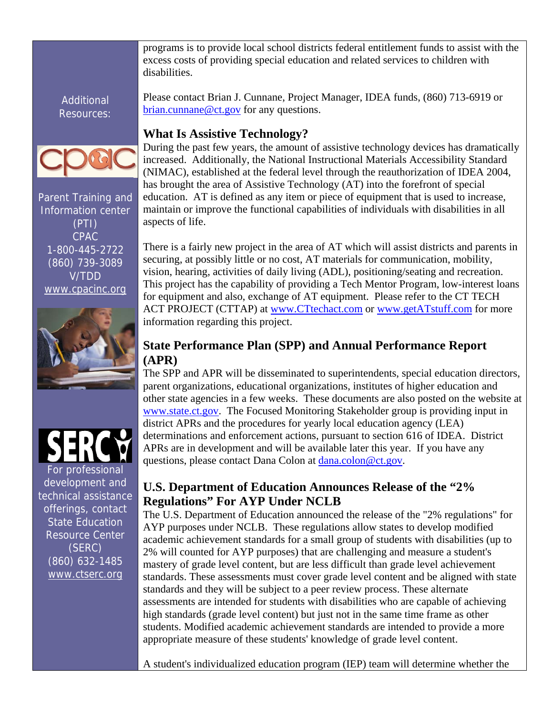programs is to provide local school districts federal entitlement funds to assist with the excess costs of providing special education and related services to children with disabilities.

Additional Resources:



Parent Training and Information center (PTI) CPAC 1-800-445-2722 (860) 739-3089 V/TDD [www.cpacinc.org](http://www.cpacinc.org/)





development and technical assistance offerings, contact State Education Resource Center (SERC) (860) 632-1485 [www.ctserc.org](http://www.ctserc.org/)

Please contact Brian J. Cunnane, Project Manager, IDEA funds, (860) 713-6919 or [brian.cunnane@ct.gov](mailto:brian.cunnane@ct.gov) for any questions.

# **What Is Assistive Technology?**

During the past few years, the amount of assistive technology devices has dramatically increased. Additionally, the National Instructional Materials Accessibility Standard (NIMAC), established at the federal level through the reauthorization of IDEA 2004, has brought the area of Assistive Technology (AT) into the forefront of special education. AT is defined as any item or piece of equipment that is used to increase, maintain or improve the functional capabilities of individuals with disabilities in all aspects of life.

There is a fairly new project in the area of AT which will assist districts and parents in securing, at possibly little or no cost, AT materials for communication, mobility, vision, hearing, activities of daily living (ADL), positioning/seating and recreation. This project has the capability of providing a Tech Mentor Program, low-interest loans for equipment and also, exchange of AT equipment. Please refer to the CT TECH ACT PROJECT (CTTAP) at [www.CTtechact.com](https://ctmail.ct.gov/exchweb/bin/redir.asp?URL=http://www.cttechact.com/) or [www.getATstuff.com](https://ctmail.ct.gov/exchweb/bin/redir.asp?URL=http://www.getatstuff.com/) for more information regarding this project.

# **State Performance Plan (SPP) and Annual Performance Report (APR)**

The SPP and APR will be disseminated to superintendents, special education directors, parent organizations, educational organizations, institutes of higher education and other state agencies in a few weeks. These documents are also posted on the website at [www.state.ct.gov](http://www.state.ct.gov/). The Focused Monitoring Stakeholder group is providing input in district APRs and the procedures for yearly local education agency (LEA) determinations and enforcement actions, pursuant to section 616 of IDEA. District APRs are in development and will be available later this year. If you have any questions, please contact Dana Colon at [dana.colon@ct.gov.](mailto:dana.colon@ct.gov)

# **U.S. Department of Education Announces Release of the "2% Regulations" For AYP Under NCLB**

The U.S. Department of Education announced the release of the "2% regulations" for AYP purposes under NCLB. These regulations allow states to develop modified academic achievement standards for a small group of students with disabilities (up to 2% will counted for AYP purposes) that are challenging and measure a student's mastery of grade level content, but are less difficult than grade level achievement standards. These assessments must cover grade level content and be aligned with state standards and they will be subject to a peer review process. These alternate assessments are intended for students with disabilities who are capable of achieving high standards (grade level content) but just not in the same time frame as other students. Modified academic achievement standards are intended to provide a more appropriate measure of these students' knowledge of grade level content.

A student's individualized education program (IEP) team will determine whether the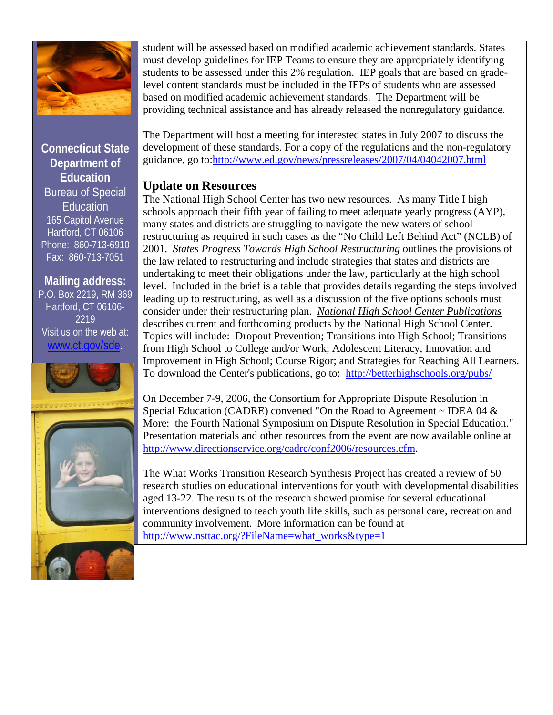

**Connecticut State Department of Education**  Bureau of Special Education 165 Capitol Avenue Hartford, CT 06106 Phone: 860-713-6910 Fax: 860-713-7051

#### **Mailing address:**

P.O. Box 2219, RM 369 Hartford, CT 06106- 2219 Visit us on the web at: [www.ct.gov/sde](http://www.ct.gov/sde).



student will be assessed based on modified academic achievement standards. States must develop guidelines for IEP Teams to ensure they are appropriately identifying students to be assessed under this 2% regulation. IEP goals that are based on gradelevel content standards must be included in the IEPs of students who are assessed based on modified academic achievement standards. The Department will be providing technical assistance and has already released the nonregulatory guidance.

The Department will host a meeting for interested states in July 2007 to discuss the development of these standards. For a copy of the regulations and the non-regulatory guidance, go to[:http://www.ed.gov/news/pressreleases/2007/04/04042007.html](http://www.ed.gov/news/pressreleases/2007/04/04042007.html)

## **Update on Resources**

The National High School Center has two new resources. As many Title I high schools approach their fifth year of failing to meet adequate yearly progress (AYP), many states and districts are struggling to navigate the new waters of school restructuring as required in such cases as the "No Child Left Behind Act" (NCLB) of 2001. *[States Progress Towards High School Restructuring](https://ctmail.ct.gov/exchweb/bin/redir.asp?URL=http://betterhighschools.org/pubs/)* outlines the provisions of the law related to restructuring and include strategies that states and districts are undertaking to meet their obligations under the law, particularly at the high school level. Included in the brief is a table that provides details regarding the steps involved leading up to restructuring, as well as a discussion of the five options schools must consider under their restructuring plan. *[National High School Center Publications](https://ctmail.ct.gov/exchweb/bin/redir.asp?URL=http://betterhighschools.org/pubs/)* describes current and forthcoming products by the National High School Center. Topics will include: Dropout Prevention; Transitions into High School; Transitions from High School to College and/or Work; Adolescent Literacy, Innovation and Improvement in High School; Course Rigor; and Strategies for Reaching All Learners. To download the Center's publications, go to: [http://betterhighschools.org/pubs/](https://ctmail.ct.gov/exchweb/bin/redir.asp?URL=http://betterhighschools.org/pubs/) 

On December 7-9, 2006, the Consortium for Appropriate Dispute Resolution in Special Education (CADRE) convened "On the Road to Agreement  $\sim$  IDEA 04  $\&$ More: the Fourth National Symposium on Dispute Resolution in Special Education." Presentation materials and other resources from the event are now available online at [http://www.directionservice.org/cadre/conf2006/resources.cfm.](https://ctmail.ct.gov/exchweb/bin/redir.asp?URL=http://www.directionservice.org/cadre/conf2006/resources.cfm)

The What Works Transition Research Synthesis Project has created a review of 50 research studies on educational interventions for youth with developmental disabilities aged 13-22. The results of the research showed promise for several educational interventions designed to teach youth life skills, such as personal care, recreation and community involvement. More information can be found at [http://www.nsttac.org/?FileName=what\\_works&type=1](https://ctmail.ct.gov/exchweb/bin/redir.asp?URL=http://www.nsttac.org/?FileName=what_works%26type=1)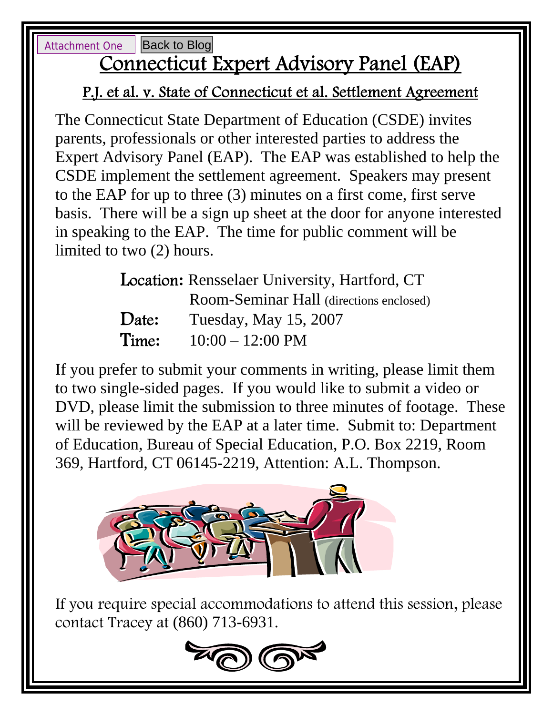<span id="page-4-0"></span>Attachment One

[Back to Blog](#page-0-0)

# Connecticut Expert Advisory Panel (EAP)

# P.J. et al. v. State of Connecticut et al. Settlement Agreement

The Connecticut State Department of Education (CSDE) invites parents, professionals or other interested parties to address the Expert Advisory Panel (EAP). The EAP was established to help the CSDE implement the settlement agreement. Speakers may present to the EAP for up to three (3) minutes on a first come, first serve basis. There will be a sign up sheet at the door for anyone interested in speaking to the EAP. The time for public comment will be limited to two (2) hours.

| Location: Rensselaer University, Hartford, CT |                                         |
|-----------------------------------------------|-----------------------------------------|
|                                               | Room-Seminar Hall (directions enclosed) |
| Date:                                         | Tuesday, May 15, 2007                   |
| Time:                                         | $10:00 - 12:00 \text{ PM}$              |

will be reviewed by the EAP at a later time. Submit to: Department If you prefer to submit your comments in writing, please limit them to two single-sided pages. If you would like to submit a video or DVD, please limit the submission to three minutes of footage. These of Education, Bureau of Special Education, P.O. Box 2219, Room 369, Hartford, CT 06145-2219, Attention: A.L. Thompson.



If you require special accommodations to attend this session, please contact Tracey at (860) 713-6931.